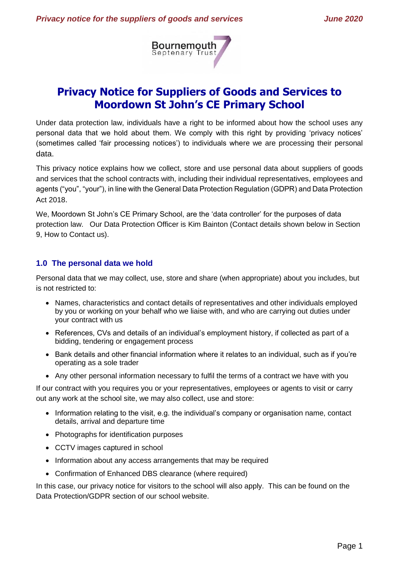

# **Privacy Notice for Suppliers of Goods and Services to Moordown St John's CE Primary School**

Under data protection law, individuals have a right to be informed about how the school uses any personal data that we hold about them. We comply with this right by providing 'privacy notices' (sometimes called 'fair processing notices') to individuals where we are processing their personal data.

This privacy notice explains how we collect, store and use personal data about suppliers of goods and services that the school contracts with, including their individual representatives, employees and agents ("you", "your"), in line with the General Data Protection Regulation (GDPR) and Data Protection Act 2018.

We, Moordown St John's CE Primary School, are the 'data controller' for the purposes of data protection law. Our Data Protection Officer is Kim Bainton (Contact details shown below in Section 9, How to Contact us).

# **1.0 The personal data we hold**

Personal data that we may collect, use, store and share (when appropriate) about you includes, but is not restricted to:

- Names, characteristics and contact details of representatives and other individuals employed by you or working on your behalf who we liaise with, and who are carrying out duties under your contract with us
- References, CVs and details of an individual's employment history, if collected as part of a bidding, tendering or engagement process
- Bank details and other financial information where it relates to an individual, such as if you're operating as a sole trader
- Any other personal information necessary to fulfil the terms of a contract we have with you

If our contract with you requires you or your representatives, employees or agents to visit or carry out any work at the school site, we may also collect, use and store:

- Information relating to the visit, e.g. the individual's company or organisation name, contact details, arrival and departure time
- Photographs for identification purposes
- CCTV images captured in school
- Information about any access arrangements that may be required
- Confirmation of Enhanced DBS clearance (where required)

In this case, our privacy notice for visitors to the school will also apply. This can be found on the Data Protection/GDPR section of our school website.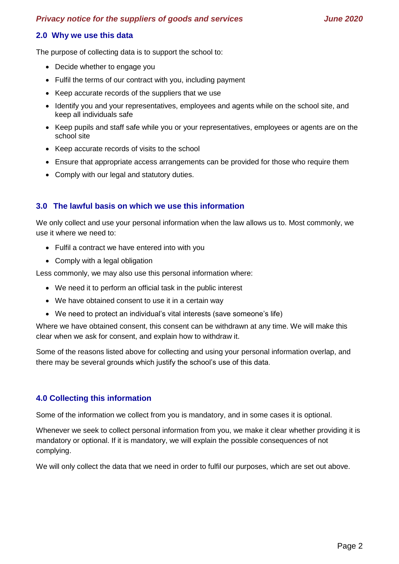#### *Privacy notice for the suppliers of goods and services June 2020*

#### **2.0 Why we use this data**

The purpose of collecting data is to support the school to:

- Decide whether to engage you
- Fulfil the terms of our contract with you, including payment
- Keep accurate records of the suppliers that we use
- Identify you and your representatives, employees and agents while on the school site, and keep all individuals safe
- Keep pupils and staff safe while you or your representatives, employees or agents are on the school site
- Keep accurate records of visits to the school
- Ensure that appropriate access arrangements can be provided for those who require them
- Comply with our legal and statutory duties.

#### **3.0 The lawful basis on which we use this information**

We only collect and use your personal information when the law allows us to. Most commonly, we use it where we need to:

- Fulfil a contract we have entered into with you
- Comply with a legal obligation

Less commonly, we may also use this personal information where:

- We need it to perform an official task in the public interest
- We have obtained consent to use it in a certain way
- We need to protect an individual's vital interests (save someone's life)

Where we have obtained consent, this consent can be withdrawn at any time. We will make this clear when we ask for consent, and explain how to withdraw it.

Some of the reasons listed above for collecting and using your personal information overlap, and there may be several grounds which justify the school's use of this data.

#### **4.0 Collecting this information**

Some of the information we collect from you is mandatory, and in some cases it is optional.

Whenever we seek to collect personal information from you, we make it clear whether providing it is mandatory or optional. If it is mandatory, we will explain the possible consequences of not complying.

We will only collect the data that we need in order to fulfil our purposes, which are set out above.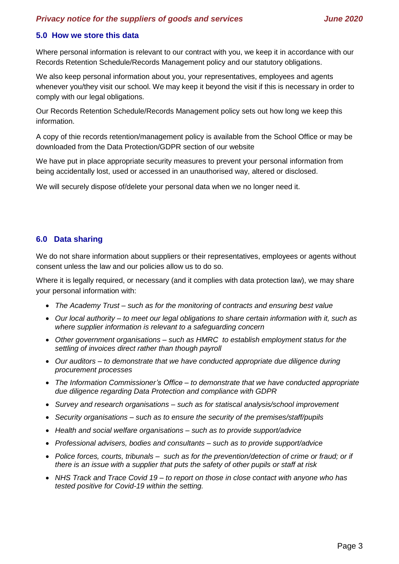## **5.0 How we store this data**

Where personal information is relevant to our contract with you, we keep it in accordance with our Records Retention Schedule/Records Management policy and our statutory obligations.

We also keep personal information about you, your representatives, employees and agents whenever you/they visit our school. We may keep it beyond the visit if this is necessary in order to comply with our legal obligations.

Our Records Retention Schedule/Records Management policy sets out how long we keep this information.

A copy of thie records retention/management policy is available from the School Office or may be downloaded from the Data Protection/GDPR section of our website

We have put in place appropriate security measures to prevent your personal information from being accidentally lost, used or accessed in an unauthorised way, altered or disclosed.

We will securely dispose of/delete your personal data when we no longer need it.

## **6.0 Data sharing**

We do not share information about suppliers or their representatives, employees or agents without consent unless the law and our policies allow us to do so.

Where it is legally required, or necessary (and it complies with data protection law), we may share your personal information with:

- *The Academy Trust – such as for the monitoring of contracts and ensuring best value*
- *Our local authority – to meet our legal obligations to share certain information with it, such as where supplier information is relevant to a safeguarding concern*
- *Other government organisations – such as HMRC to establish employment status for the settling of invoices direct rather than though payroll*
- *Our auditors – to demonstrate that we have conducted appropriate due diligence during procurement processes*
- *The Information Commissioner's Office – to demonstrate that we have conducted appropriate due diligence regarding Data Protection and compliance with GDPR*
- *Survey and research organisations – such as for statiscal analysis/school improvement*
- *Security organisations – such as to ensure the security of the premises/staff/pupils*
- *Health and social welfare organisations – such as to provide support/advice*
- *Professional advisers, bodies and consultants – such as to provide support/advice*
- *Police forces, courts, tribunals – such as for the prevention/detection of crime or fraud; or if there is an issue with a supplier that puts the safety of other pupils or staff at risk*
- *NHS Track and Trace Covid 19 – to report on those in close contact with anyone who has tested positive for Covid-19 within the setting.*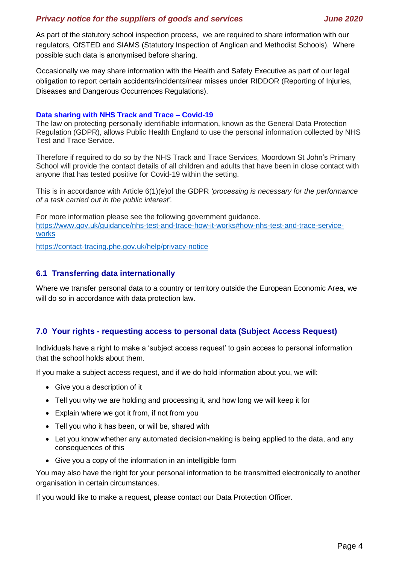As part of the statutory school inspection process, we are required to share information with our regulators, OfSTED and SIAMS (Statutory Inspection of Anglican and Methodist Schools). Where possible such data is anonymised before sharing.

Occasionally we may share information with the Health and Safety Executive as part of our legal obligation to report certain accidents/incidents/near misses under RIDDOR (Reporting of Injuries, Diseases and Dangerous Occurrences Regulations).

#### **Data sharing with NHS Track and Trace – Covid-19**

The law on protecting personally identifiable information, known as the General Data Protection Regulation (GDPR), allows Public Health England to use the personal information collected by NHS Test and Trace Service.

Therefore if required to do so by the NHS Track and Trace Services, Moordown St John's Primary School will provide the contact details of all children and adults that have been in close contact with anyone that has tested positive for Covid-19 within the setting.

This is in accordance with Article 6(1)(e)of the GDPR *'processing is necessary for the performance of a task carried out in the public interest'.*

For more information please see the following government guidance. [https://www.gov.uk/guidance/nhs-test-and-trace-how-it-works#how-nhs-test-and-trace-service](https://www.gov.uk/guidance/nhs-test-and-trace-how-it-works#how-nhs-test-and-trace-service-works)[works](https://www.gov.uk/guidance/nhs-test-and-trace-how-it-works#how-nhs-test-and-trace-service-works)

<https://contact-tracing.phe.gov.uk/help/privacy-notice>

## **6.1 Transferring data internationally**

Where we transfer personal data to a country or territory outside the European Economic Area, we will do so in accordance with data protection law.

## **7.0 Your rights - requesting access to personal data (Subject Access Request)**

Individuals have a right to make a 'subject access request' to gain access to personal information that the school holds about them.

If you make a subject access request, and if we do hold information about you, we will:

- Give you a description of it
- Tell you why we are holding and processing it, and how long we will keep it for
- Explain where we got it from, if not from you
- Tell you who it has been, or will be, shared with
- Let you know whether any automated decision-making is being applied to the data, and any consequences of this
- Give you a copy of the information in an intelligible form

You may also have the right for your personal information to be transmitted electronically to another organisation in certain circumstances.

If you would like to make a request, please contact our Data Protection Officer.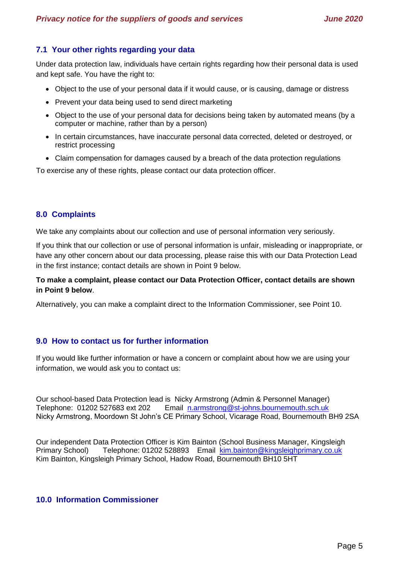# **7.1 Your other rights regarding your data**

Under data protection law, individuals have certain rights regarding how their personal data is used and kept safe. You have the right to:

- Object to the use of your personal data if it would cause, or is causing, damage or distress
- Prevent your data being used to send direct marketing
- Object to the use of your personal data for decisions being taken by automated means (by a computer or machine, rather than by a person)
- In certain circumstances, have inaccurate personal data corrected, deleted or destroyed, or restrict processing
- Claim compensation for damages caused by a breach of the data protection regulations

To exercise any of these rights, please contact our data protection officer.

## **8.0 Complaints**

We take any complaints about our collection and use of personal information very seriously.

If you think that our collection or use of personal information is unfair, misleading or inappropriate, or have any other concern about our data processing, please raise this with our Data Protection Lead in the first instance; contact details are shown in Point 9 below.

#### **To make a complaint, please contact our Data Protection Officer, contact details are shown in Point 9 below**.

Alternatively, you can make a complaint direct to the Information Commissioner, see Point 10.

#### **9.0 How to contact us for further information**

If you would like further information or have a concern or complaint about how we are using your information, we would ask you to contact us:

Our school-based Data Protection lead is Nicky Armstrong (Admin & Personnel Manager) Telephone: 01202 527683 ext 202 Email [n.armstrong@st-johns.bournemouth.sch.uk](mailto:n.armstrong@st-johns.bournemouth.sch.uk) Nicky Armstrong, Moordown St John's CE Primary School, Vicarage Road, Bournemouth BH9 2SA

Our independent Data Protection Officer is Kim Bainton (School Business Manager, Kingsleigh Primary School) Telephone: 01202 528893 Email [kim.bainton@kingsleighprimary.co.uk](mailto:kim.bainton@kingsleighprimary.co.uk) Kim Bainton, Kingsleigh Primary School, Hadow Road, Bournemouth BH10 5HT

#### **10.0 Information Commissioner**